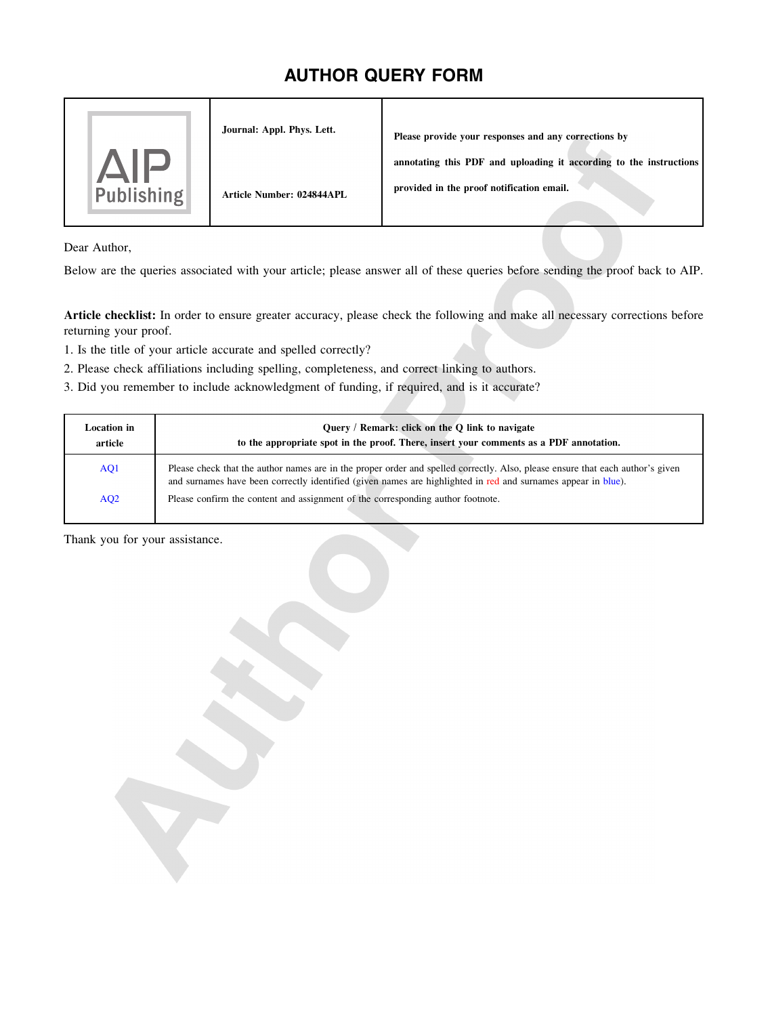## AUTHOR QUERY FORM

<span id="page-0-0"></span>

|                                 | Journal: Appl. Phys. Lett. | Please provide your responses and any corrections by<br>annotating this PDF and uploading it according to the instructions |
|---------------------------------|----------------------------|----------------------------------------------------------------------------------------------------------------------------|
| $\Delta P$<br><b>Publishing</b> | Article Number: 024844APL  | provided in the proof notification email.                                                                                  |

Dear Author,

Below are the queries associated with your article; please answer all of these queries before sending the proof back to AIP.

Article checklist: In order to ensure greater accuracy, please check the following and make all necessary corrections before returning your proof.

1. Is the title of your article accurate and spelled correctly?

2. Please check affiliations including spelling, completeness, and correct linking to authors.

3. Did you remember to include acknowledgment of funding, if required, and is it accurate?

| <b>Location</b> in<br>article | Query / Remark: click on the Q link to navigate<br>to the appropriate spot in the proof. There, insert your comments as a PDF annotation.                                                                                                       |
|-------------------------------|-------------------------------------------------------------------------------------------------------------------------------------------------------------------------------------------------------------------------------------------------|
| AQ1                           | Please check that the author names are in the proper order and spelled correctly. Also, please ensure that each author's given<br>and surnames have been correctly identified (given names are highlighted in red and surnames appear in blue). |
| AO2                           | Please confirm the content and assignment of the corresponding author footnote.                                                                                                                                                                 |

Thank you for your assistance.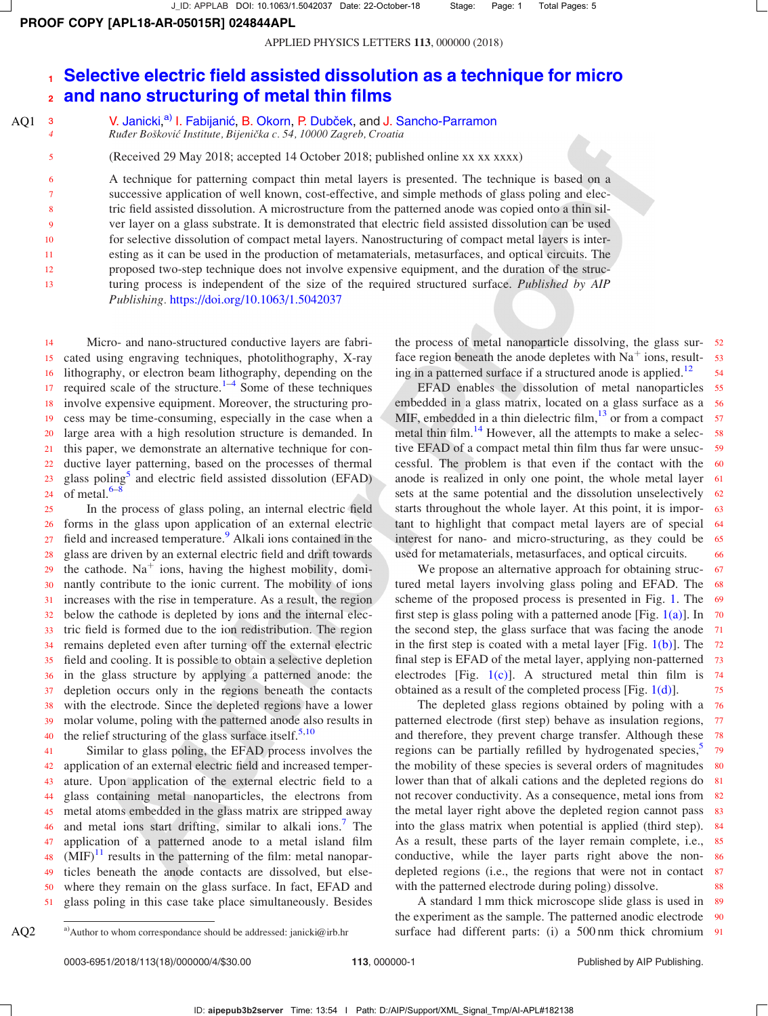APPLIED PHYSICS LETTERS 113, 000000 (2018)

## <span id="page-1-0"></span>[Selective electric field assisted dissolution as a technique for micro](https://doi.org/10.1063/1.5042037) [and nano structuring of metal thin films](https://doi.org/10.1063/1.5042037)

[AQ1](#page-0-0) 3 V. Janicki,<sup>a)</sup> I. Fabijanić, B. Okorn, P. Dubček, and J. Sancho-Parramon 4 Ruđer Bošković Institute, Bijenička c. 54, 10000 Zagreb, Croatia

<sup>5</sup> (Received 29 May 2018; accepted 14 October 2018; published online xx xx xxxx)

 A technique for patterning compact thin metal layers is presented. The technique is based on a successive application of well known, cost-effective, and simple methods of glass poling and elec- tric field assisted dissolution. A microstructure from the patterned anode was copied onto a thin sil- ver layer on a glass substrate. It is demonstrated that electric field assisted dissolution can be used for selective dissolution of compact metal layers. Nanostructuring of compact metal layers is inter- esting as it can be used in the production of metamaterials, metasurfaces, and optical circuits. The proposed two-step technique does not involve expensive equipment, and the duration of the struc-13 turing process is independent of the size of the required structured surface. Published by AIP Publishing. <https://doi.org/10.1063/1.5042037>

 Micro- and nano-structured conductive layers are fabri- cated using engraving techniques, photolithography, X-ray lithography, or electron beam lithography, depending on the 17 required scale of the structure.<sup>[1–4](#page-3-0)</sup> Some of these techniques involve expensive equipment. Moreover, the structuring pro- cess may be time-consuming, especially in the case when a large area with a high resolution structure is demanded. In this paper, we demonstrate an alternative technique for con- ductive layer patterning, based on the processes of thermal glass poling<sup>3</sup> and electric field assisted dissolution (EFAD) 24 of metal. $6$ -

 In the process of glass poling, an internal electric field forms in the glass upon application of an external electric field and increased temperature.<sup>[9](#page-4-0)</sup> Alkali ions contained in the glass are driven by an external electric field and drift towards 29 the cathode. Na<sup>+</sup> ions, having the highest mobility, domi- nantly contribute to the ionic current. The mobility of ions increases with the rise in temperature. As a result, the region below the cathode is depleted by ions and the internal elec- tric field is formed due to the ion redistribution. The region remains depleted even after turning off the external electric field and cooling. It is possible to obtain a selective depletion in the glass structure by applying a patterned anode: the depletion occurs only in the regions beneath the contacts with the electrode. Since the depleted regions have a lower molar volume, poling with the patterned anode also results in 40 the relief structuring of the glass surface itself.<sup>[5](#page-3-0)[,10](#page-4-0)</sup>

 Similar to glass poling, the EFAD process involves the application of an external electric field and increased temper- ature. Upon application of the external electric field to a glass containing metal nanoparticles, the electrons from metal atoms embedded in the glass matrix are stripped away 46 and metal ions start drifting, similar to alkali ions.<sup>[7](#page-3-0)</sup> The application of a patterned anode to a metal island film (MIF)<sup>[11](#page-4-0)</sup> results in the patterning of the film: metal nanopar- ticles beneath the anode contacts are dissolved, but else- where they remain on the glass surface. In fact, EFAD and glass poling in this case take place simultaneously. Besides the process of metal nanoparticle dissolving, the glass sur- <sup>52</sup> face region beneath the anode depletes with  $Na<sup>+</sup>$  ions, result-  $53$ ing in a patterned surface if a structured anode is applied.  $12 \times 54$  $12 \times 54$ 

EFAD enables the dissolution of metal nanoparticles <sup>55</sup> embedded in a glass matrix, located on a glass surface as a 56 MIF, embedded in a thin dielectric film,  $^{13}$  $^{13}$  $^{13}$  or from a compact  $\frac{57}{2}$ metal thin film. $^{14}$  $^{14}$  $^{14}$  However, all the attempts to make a selec-  $\frac{58}{2}$ tive EFAD of a compact metal thin film thus far were unsuc- <sup>59</sup> cessful. The problem is that even if the contact with the <sup>60</sup> anode is realized in only one point, the whole metal layer <sup>61</sup> sets at the same potential and the dissolution unselectively 62 starts throughout the whole layer. At this point, it is impor- <sup>63</sup> tant to highlight that compact metal layers are of special <sup>64</sup> interest for nano- and micro-structuring, as they could be 65 used for metamaterials, metasurfaces, and optical circuits. 66

We propose an alternative approach for obtaining struc- 67 tured metal layers involving glass poling and EFAD. The <sup>68</sup> scheme of the proposed process is presented in Fig. [1](#page-2-0). The 69 first step is glass poling with a patterned anode [Fig.  $1(a)$ ]. In 70 the second step, the glass surface that was facing the anode <sup>71</sup> in the first step is coated with a metal layer [Fig.  $1(b)$ ]. The 72 final step is EFAD of the metal layer, applying non-patterned 73 electrodes [Fig.  $1(c)$ ]. A structured metal thin film is  $74$ obtained as a result of the completed process  $[Fig. 1(d)]$  $[Fig. 1(d)]$ . 75

The depleted glass regions obtained by poling with a <sup>76</sup> patterned electrode (first step) behave as insulation regions, 77 and therefore, they prevent charge transfer. Although these 78 regions can be partially refilled by hydrogenated species, $\frac{3}{2}$  79 the mobility of these species is several orders of magnitudes 80 lower than that of alkali cations and the depleted regions do 81 not recover conductivity. As a consequence, metal ions from 82 the metal layer right above the depleted region cannot pass 83 into the glass matrix when potential is applied (third step). <sup>84</sup> As a result, these parts of the layer remain complete, i.e., <sup>85</sup> conductive, while the layer parts right above the non- <sup>86</sup> depleted regions (i.e., the regions that were not in contact <sup>87</sup> with the patterned electrode during poling) dissolve. 88

A standard 1 mm thick microscope slide glass is used in <sup>89</sup> the experiment as the sample. The patterned anodic electrode 90 [AQ2](#page-0-0) <sup>a)</sup>Author to whom correspondance should be addressed: [janicki@irb.hr](mailto:janicki@irb.hr) surface had different parts: (i) a 500 nm thick chromium 91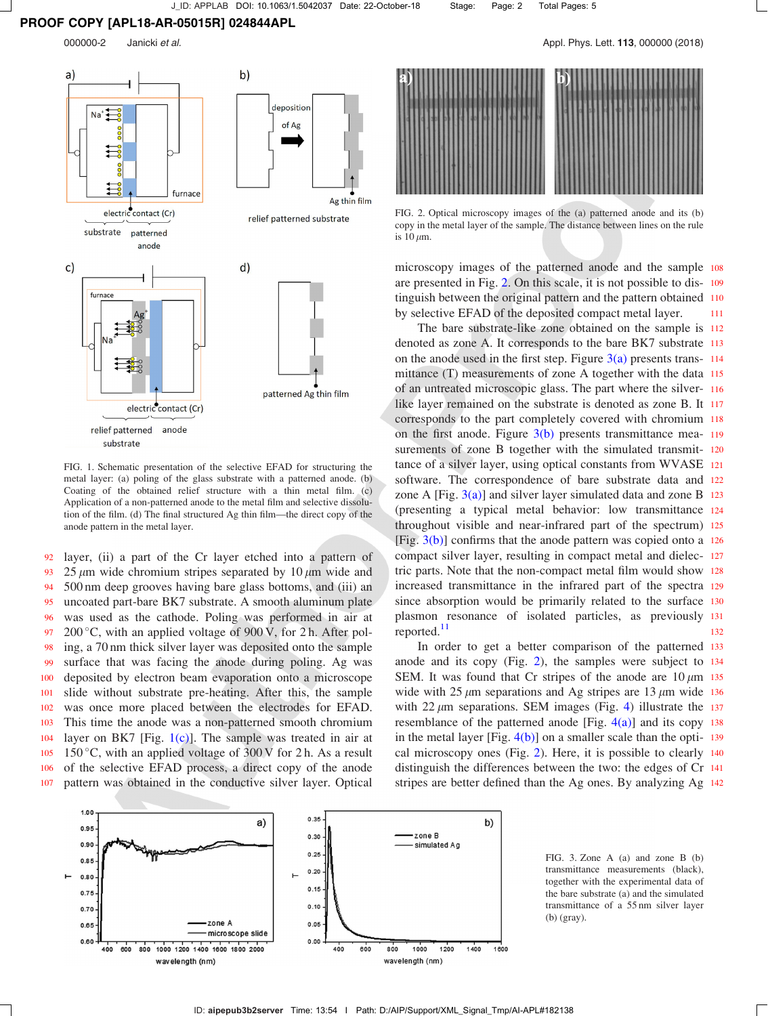<span id="page-2-0"></span>





FIG. 1. Schematic presentation of the selective EFAD for structuring the metal layer: (a) poling of the glass substrate with a patterned anode. (b) Coating of the obtained relief structure with a thin metal film. (c) Application of a non-patterned anode to the metal film and selective dissolution of the film. (d) The final structured Ag thin film—the direct copy of the anode pattern in the metal layer.

 layer, (ii) a part of the Cr layer etched into a pattern of 93 25  $\mu$ m wide chromium stripes separated by 10  $\mu$ m wide and 500 nm deep grooves having bare glass bottoms, and (iii) an uncoated part-bare BK7 substrate. A smooth aluminum plate was used as the cathode. Poling was performed in air at 97 200 °C, with an applied voltage of 900 V, for 2 h. After pol- ing, a 70 nm thick silver layer was deposited onto the sample surface that was facing the anode during poling. Ag was deposited by electron beam evaporation onto a microscope slide without substrate pre-heating. After this, the sample was once more placed between the electrodes for EFAD. This time the anode was a non-patterned smooth chromium layer on BK7 [Fig. 1(c)]. The sample was treated in air at 105 150 °C, with an applied voltage of 300 V for 2 h. As a result of the selective EFAD process, a direct copy of the anode pattern was obtained in the conductive silver layer. Optical



FIG. 2. Optical microscopy images of the (a) patterned anode and its (b) copy in the metal layer of the sample. The distance between lines on the rule is  $10 \mu m$ .

microscopy images of the patterned anode and the sample <sup>108</sup> are presented in Fig. 2. On this scale, it is not possible to dis- <sup>109</sup> tinguish between the original pattern and the pattern obtained <sup>110</sup> by selective EFAD of the deposited compact metal layer. 111

The bare substrate-like zone obtained on the sample is <sup>112</sup> denoted as zone A. It corresponds to the bare BK7 substrate <sup>113</sup> on the anode used in the first step. Figure  $3(a)$  presents trans- 114 mittance (T) measurements of zone A together with the data 115 of an untreated microscopic glass. The part where the silver- <sup>116</sup> like layer remained on the substrate is denoted as zone B. It 117 corresponds to the part completely covered with chromium <sup>118</sup> on the first anode. Figure 3(b) presents transmittance mea- <sup>119</sup> surements of zone B together with the simulated transmit-120 tance of a silver layer, using optical constants from WVASE <sup>121</sup> software. The correspondence of bare substrate data and <sup>122</sup> zone A [Fig.  $3(a)$ ] and silver layer simulated data and zone B 123 (presenting a typical metal behavior: low transmittance <sup>124</sup> throughout visible and near-infrared part of the spectrum) <sup>125</sup> [Fig.  $3(b)$ ] confirms that the anode pattern was copied onto a 126 compact silver layer, resulting in compact metal and dielec- <sup>127</sup> tric parts. Note that the non-compact metal film would show <sup>128</sup> increased transmittance in the infrared part of the spectra <sup>129</sup> since absorption would be primarily related to the surface <sup>130</sup> plasmon resonance of isolated particles, as previously <sup>131</sup> reported. $^{11}$  $^{11}$  $^{11}$  132

In order to get a better comparison of the patterned <sup>133</sup> anode and its copy (Fig. 2), the samples were subject to <sup>134</sup> SEM. It was found that Cr stripes of the anode are  $10 \mu m$  135 wide with 25  $\mu$ m separations and Ag stripes are 13  $\mu$ m wide 136 with 22  $\mu$ m separations. SEM images (Fig. [4](#page-3-0)) illustrate the 137 resemblance of the patterned anode [Fig.  $4(a)$ ] and its copy 138 in the metal layer [Fig.  $4(b)$ ] on a smaller scale than the opti- 139 cal microscopy ones (Fig. 2). Here, it is possible to clearly <sup>140</sup> distinguish the differences between the two: the edges of Cr <sup>141</sup> stripes are better defined than the Ag ones. By analyzing Ag <sup>142</sup>



FIG. 3. Zone A (a) and zone B (b) transmittance measurements (black), together with the experimental data of the bare substrate (a) and the simulated transmittance of a 55 nm silver layer (b) (gray).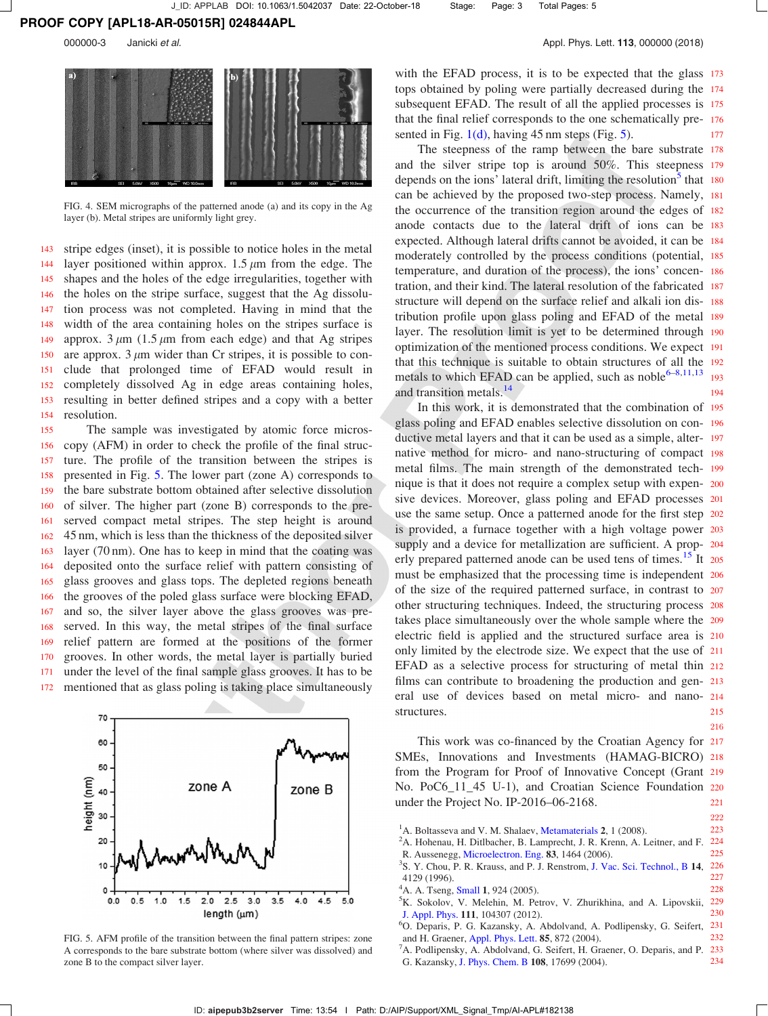## <span id="page-3-0"></span>PROOF COPY [APL18-AR-05015R] 024844APL



FIG. 4. SEM micrographs of the patterned anode (a) and its copy in the Ag layer (b). Metal stripes are uniformly light grey.

 stripe edges (inset), it is possible to notice holes in the metal 144 layer positioned within approx.  $1.5 \mu m$  from the edge. The shapes and the holes of the edge irregularities, together with the holes on the stripe surface, suggest that the Ag dissolu- tion process was not completed. Having in mind that the width of the area containing holes on the stripes surface is 149 approx.  $3 \mu m$  (1.5  $\mu$ m from each edge) and that Ag stripes 150 are approx.  $3 \mu m$  wider than Cr stripes, it is possible to con- clude that prolonged time of EFAD would result in completely dissolved Ag in edge areas containing holes, resulting in better defined stripes and a copy with a better resolution.

 The sample was investigated by atomic force micros- copy (AFM) in order to check the profile of the final struc- ture. The profile of the transition between the stripes is presented in Fig. 5. The lower part (zone A) corresponds to the bare substrate bottom obtained after selective dissolution of silver. The higher part (zone B) corresponds to the pre- served compact metal stripes. The step height is around 45 nm, which is less than the thickness of the deposited silver layer (70 nm). One has to keep in mind that the coating was deposited onto the surface relief with pattern consisting of glass grooves and glass tops. The depleted regions beneath the grooves of the poled glass surface were blocking EFAD, and so, the silver layer above the glass grooves was pre- served. In this way, the metal stripes of the final surface relief pattern are formed at the positions of the former grooves. In other words, the metal layer is partially buried under the level of the final sample glass grooves. It has to be mentioned that as glass poling is taking place simultaneously



FIG. 5. AFM profile of the transition between the final pattern stripes: zone A corresponds to the bare substrate bottom (where silver was dissolved) and zone B to the compact silver layer.

with the EFAD process, it is to be expected that the glass 173 tops obtained by poling were partially decreased during the <sup>174</sup> subsequent EFAD. The result of all the applied processes is 175 that the final relief corresponds to the one schematically pre- <sup>176</sup> sented in Fig.  $1(d)$ , having 45 nm steps (Fig. 5). 177

The steepness of the ramp between the bare substrate <sup>178</sup> and the silver stripe top is around 50%. This steepness <sup>179</sup> depends on the ions' lateral drift, limiting the resolution<sup>5</sup> that  $180$ can be achieved by the proposed two-step process. Namely, <sup>181</sup> the occurrence of the transition region around the edges of <sup>182</sup> anode contacts due to the lateral drift of ions can be <sup>183</sup> expected. Although lateral drifts cannot be avoided, it can be <sup>184</sup> moderately controlled by the process conditions (potential, <sup>185</sup> temperature, and duration of the process), the ions' concen- <sup>186</sup> tration, and their kind. The lateral resolution of the fabricated <sup>187</sup> structure will depend on the surface relief and alkali ion dis- <sup>188</sup> tribution profile upon glass poling and EFAD of the metal <sup>189</sup> layer. The resolution limit is yet to be determined through <sup>190</sup> optimization of the mentioned process conditions. We expect <sup>191</sup> that this technique is suitable to obtain structures of all the <sup>192</sup> metals to which EFAD can be applied, such as noble  $6-8,11,13$  193 and transition metals. $14 \overline{)}$  $14 \overline{)}$  194

In this work, it is demonstrated that the combination of <sup>195</sup> glass poling and EFAD enables selective dissolution on con- <sup>196</sup> ductive metal layers and that it can be used as a simple, alter- <sup>197</sup> native method for micro- and nano-structuring of compact <sup>198</sup> metal films. The main strength of the demonstrated tech- <sup>199</sup> nique is that it does not require a complex setup with expen- <sup>200</sup> sive devices. Moreover, glass poling and EFAD processes <sup>201</sup> use the same setup. Once a patterned anode for the first step <sup>202</sup> is provided, a furnace together with a high voltage power <sup>203</sup> supply and a device for metallization are sufficient. A prop- <sup>204</sup> erly prepared patterned anode can be used tens of times.<sup>[15](#page-4-0)</sup> It 205 must be emphasized that the processing time is independent <sup>206</sup> of the size of the required patterned surface, in contrast to <sup>207</sup> other structuring techniques. Indeed, the structuring process <sup>208</sup> takes place simultaneously over the whole sample where the <sup>209</sup> electric field is applied and the structured surface area is <sup>210</sup> only limited by the electrode size. We expect that the use of <sup>211</sup> EFAD as a selective process for structuring of metal thin <sup>212</sup> films can contribute to broadening the production and gen- <sup>213</sup> eral use of devices based on metal micro- and nano- <sup>214</sup> structures. 215

This work was co-financed by the Croatian Agency for <sup>217</sup> SMEs, Innovations and Investments (HAMAG-BICRO) <sup>218</sup> from the Program for Proof of Innovative Concept (Grant <sup>219</sup> No. PoC6\_11\_45 U-1), and Croatian Science Foundation <sup>220</sup> under the Project No. IP-2016–06-2168. <sup>221</sup>

216

222

- <sup>1</sup>A. Boltasseva and V. M. Shalaev, [Metamaterials](https://doi.org/10.1016/j.metmat.2008.03.004) 2, 1 (2008). 223
- <sup>2</sup>A. Hohenau, H. Ditlbacher, B. Lamprecht, J. R. Krenn, A. Leitner, and F. 224 R. Aussenegg, [Microelectron. Eng.](https://doi.org/10.1016/j.mee.2006.01.085) 83, 1464 (2006). 225
- <sup>3</sup>S. Y. Chou, P. R. Krauss, and P. J. Renstrom, [J. Vac. Sci. Technol., B](https://doi.org/10.1116/1.588605) 14, 226  $^{41}$  4129 (1996). 227<br> $^{4}$  4  $\Delta$  Tseng Small 1 924 (2005)
- <sup>4</sup>A. A. Tseng, [Small](https://doi.org/10.1002/smll.200500113) 1, 924 (2005). 228
- <sup>5</sup>K. Sokolov, V. Melehin, M. Petrov, V. Zhurikhina, and A. Lipovskii, 229 [J. Appl. Phys.](https://doi.org/10.1063/1.4714350) 111, 104307 (2012). 230
- <sup>6</sup>O. Deparis, P. G. Kazansky, A. Abdolvand, A. Podlipensky, G. Seifert, 231 and H. Graener, [Appl. Phys. Lett.](https://doi.org/10.1063/1.1779966) 85, 872 (2004). 232<br><sup>7</sup>A Podlinensky A. Abdolvand G. Seifert H. Graener O. Denaris, and P. 233
- <sup>7</sup>A. Podlipensky, A. Abdolvand, G. Seifert, H. Graener, O. Deparis, and P. 233
- G. Kazansky, [J. Phys. Chem. B](https://doi.org/10.1021/jp045874c) 108, 17699 (2004). 234